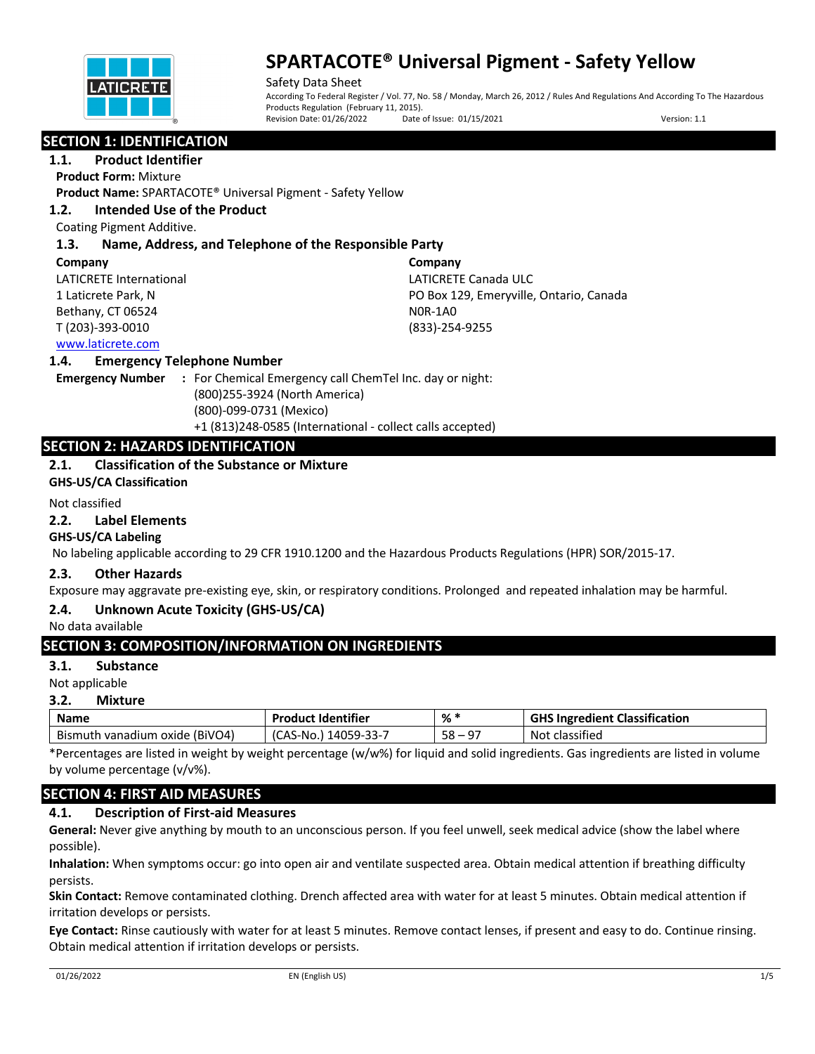

Safety Data Sheet According To Federal Register / Vol. 77, No. 58 / Monday, March 26, 2012 / Rules And Regulations And According To The Hazardous Products Regulation (February 11, 2015).<br>Revision Date: 01/26/2022 Date Date of Issue: 01/15/2021 Version: 1.1

# **SECTION 1: IDENTIFICATION**

## **1.1. Product Identifier**

**Product Form:** Mixture

**Product Name:** SPARTACOTE® Universal Pigment - Safety Yellow

## **1.2. Intended Use of the Product**

Coating Pigment Additive.

## **1.3. Name, Address, and Telephone of the Responsible Party**

#### **Company**

LATICRETE International 1 Laticrete Park, N Bethany, CT 06524 T (203)-393-0010

**Company** LATICRETE Canada ULC PO Box 129, Emeryville, Ontario, Canada N0R-1A0 (833)-254-9255

## www.laticrete.com

#### **1.4. Emergency Telephone Number**

**Emergency Number :** For Chemical Emergency call ChemTel Inc. day or night: (800)255-3924 (North America) (800)-099-0731 (Mexico) +1 (813)248-0585 (International - collect calls accepted)

## **SECTION 2: HAZARDS IDENTIFICATION**

## **2.1. Classification of the Substance or Mixture**

**GHS-US/CA Classification**

#### Not classified

#### **2.2. Label Elements**

#### **GHS-US/CA Labeling**

No labeling applicable according to 29 CFR 1910.1200 and the Hazardous Products Regulations (HPR) SOR/2015-17.

#### **2.3. Other Hazards**

Exposure may aggravate pre-existing eye, skin, or respiratory conditions. Prolonged and repeated inhalation may be harmful.

## **2.4. Unknown Acute Toxicity (GHS-US/CA)**

No data available

## **SECTION 3: COMPOSITION/INFORMATION ON INGREDIENTS**

#### **3.1. Substance**

Not applicable

#### **3.2. Mixture**

| <b>Name</b>                            | <b>Product Identifier</b> | %*                 | <b>GHS Ingredient Classification</b> |
|----------------------------------------|---------------------------|--------------------|--------------------------------------|
| oxide (BiVO4)<br>Bismuth<br>ı vanadium | 14059-33-7<br>ICAS-No.    | 58<br>$\mathsf{A}$ | .<br>Not<br>: classified             |

\*Percentages are listed in weight by weight percentage (w/w%) for liquid and solid ingredients. Gas ingredients are listed in volume by volume percentage (v/v%).

## **SECTION 4: FIRST AID MEASURES**

## **4.1. Description of First-aid Measures**

**General:** Never give anything by mouth to an unconscious person. If you feel unwell, seek medical advice (show the label where possible).

**Inhalation:** When symptoms occur: go into open air and ventilate suspected area. Obtain medical attention if breathing difficulty persists.

**Skin Contact:** Remove contaminated clothing. Drench affected area with water for at least 5 minutes. Obtain medical attention if irritation develops or persists.

**Eye Contact:** Rinse cautiously with water for at least 5 minutes. Remove contact lenses, if present and easy to do. Continue rinsing. Obtain medical attention if irritation develops or persists.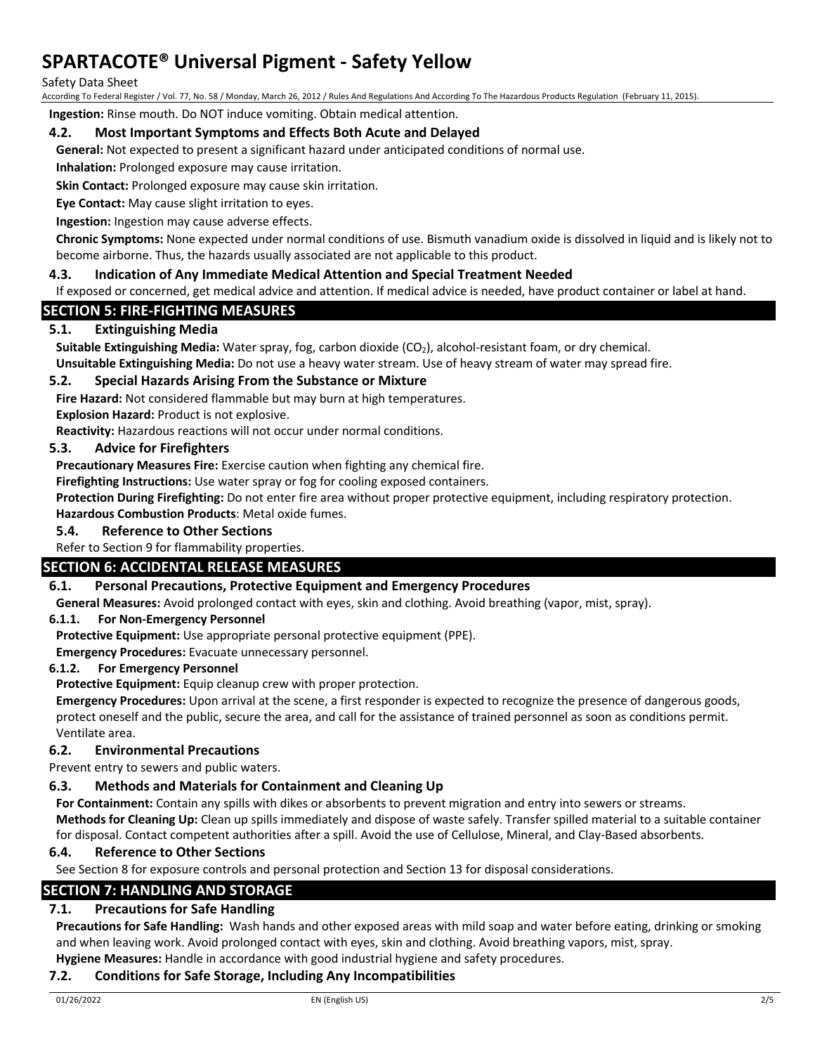#### Safety Data Sheet

According To Federal Register / Vol. 77, No. 58 / Monday, March 26, 2012 / Rules And Regulations And According To The Hazardous Products Regulation (February 11, 2015).

**Ingestion:** Rinse mouth. Do NOT induce vomiting. Obtain medical attention.

#### **4.2. Most Important Symptoms and Effects Both Acute and Delayed**

**General:** Not expected to present a significant hazard under anticipated conditions of normal use.

**Inhalation:** Prolonged exposure may cause irritation.

**Skin Contact:** Prolonged exposure may cause skin irritation.

**Eye Contact:** May cause slight irritation to eyes.

**Ingestion:** Ingestion may cause adverse effects.

**Chronic Symptoms:** None expected under normal conditions of use. Bismuth vanadium oxide is dissolved in liquid and is likely not to become airborne. Thus, the hazards usually associated are not applicable to this product.

## **4.3. Indication of Any Immediate Medical Attention and Special Treatment Needed**

If exposed or concerned, get medical advice and attention. If medical advice is needed, have product container or label at hand.

# **SECTION 5: FIRE-FIGHTING MEASURES**

## **5.1. Extinguishing Media**

**Suitable Extinguishing Media:** Water spray, fog, carbon dioxide (CO<sub>2</sub>), alcohol-resistant foam, or dry chemical.

**Unsuitable Extinguishing Media:** Do not use a heavy water stream. Use of heavy stream of water may spread fire.

## **5.2. Special Hazards Arising From the Substance or Mixture**

**Fire Hazard:** Not considered flammable but may burn at high temperatures.

**Explosion Hazard:** Product is not explosive.

**Reactivity:** Hazardous reactions will not occur under normal conditions.

#### **5.3. Advice for Firefighters**

**Precautionary Measures Fire:** Exercise caution when fighting any chemical fire.

**Firefighting Instructions:** Use water spray or fog for cooling exposed containers.

**Protection During Firefighting:** Do not enter fire area without proper protective equipment, including respiratory protection. **Hazardous Combustion Products**: Metal oxide fumes.

#### **5.4. Reference to Other Sections**

#### Refer to Section 9 for flammability properties.

## **SECTION 6: ACCIDENTAL RELEASE MEASURES**

#### **6.1. Personal Precautions, Protective Equipment and Emergency Procedures**

**General Measures:** Avoid prolonged contact with eyes, skin and clothing. Avoid breathing (vapor, mist, spray).

#### **6.1.1. For Non-Emergency Personnel**

**Protective Equipment:** Use appropriate personal protective equipment (PPE).

**Emergency Procedures:** Evacuate unnecessary personnel.

#### **6.1.2. For Emergency Personnel**

**Protective Equipment:** Equip cleanup crew with proper protection.

**Emergency Procedures:** Upon arrival at the scene, a first responder is expected to recognize the presence of dangerous goods, protect oneself and the public, secure the area, and call for the assistance of trained personnel as soon as conditions permit. Ventilate area.

#### **6.2. Environmental Precautions**

Prevent entry to sewers and public waters.

#### **6.3. Methods and Materials for Containment and Cleaning Up**

**For Containment:** Contain any spills with dikes or absorbents to prevent migration and entry into sewers or streams. **Methods for Cleaning Up:** Clean up spills immediately and dispose of waste safely. Transfer spilled material to a suitable container for disposal. Contact competent authorities after a spill. Avoid the use of Cellulose, Mineral, and Clay-Based absorbents.

#### **6.4. Reference to Other Sections**

See Section 8 for exposure controls and personal protection and Section 13 for disposal considerations.

## **SECTION 7: HANDLING AND STORAGE**

## **7.1. Precautions for Safe Handling**

**Precautions for Safe Handling:** Wash hands and other exposed areas with mild soap and water before eating, drinking or smoking and when leaving work. Avoid prolonged contact with eyes, skin and clothing. Avoid breathing vapors, mist, spray. **Hygiene Measures:** Handle in accordance with good industrial hygiene and safety procedures.

#### **7.2. Conditions for Safe Storage, Including Any Incompatibilities**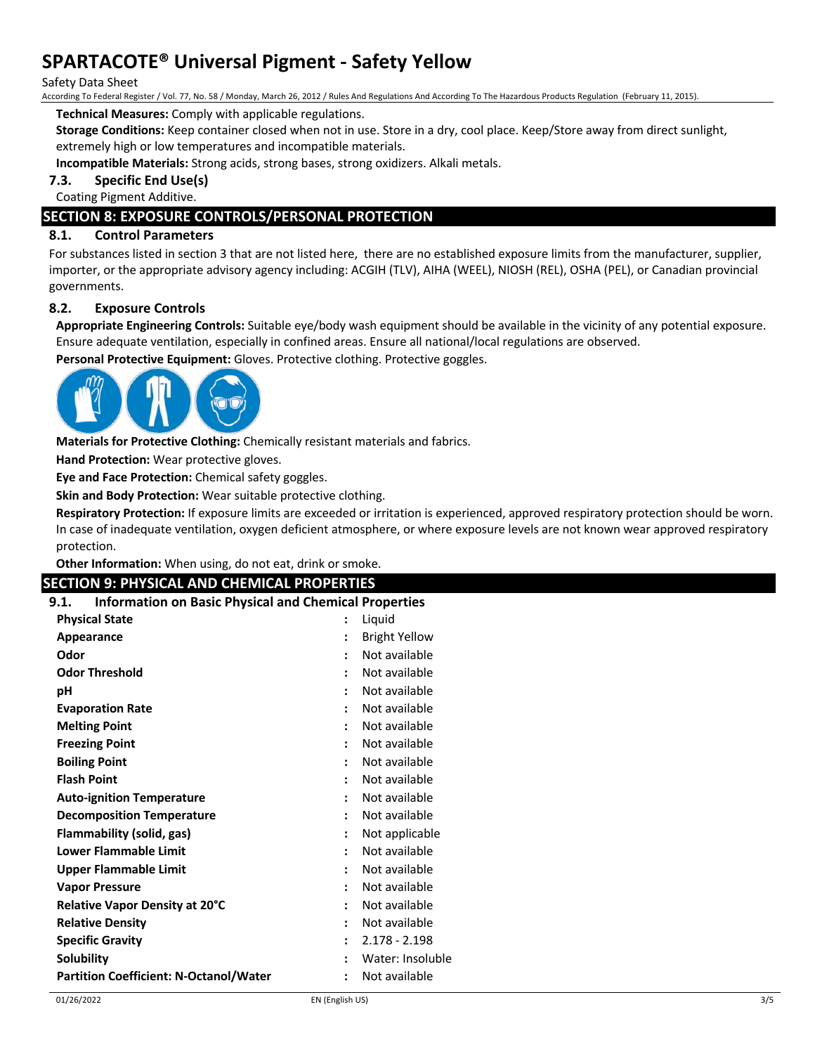Safety Data Sheet

According To Federal Register / Vol. 77, No. 58 / Monday, March 26, 2012 / Rules And Regulations And According To The Hazardous Products Regulation (February 11, 2015).

**Technical Measures:** Comply with applicable regulations.

**Storage Conditions:** Keep container closed when not in use. Store in a dry, cool place. Keep/Store away from direct sunlight, extremely high or low temperatures and incompatible materials.

**Incompatible Materials:** Strong acids, strong bases, strong oxidizers. Alkali metals.

**7.3. Specific End Use(s)**

Coating Pigment Additive.

# **SECTION 8: EXPOSURE CONTROLS/PERSONAL PROTECTION**

#### **8.1. Control Parameters**

For substances listed in section 3 that are not listed here, there are no established exposure limits from the manufacturer, supplier, importer, or the appropriate advisory agency including: ACGIH (TLV), AIHA (WEEL), NIOSH (REL), OSHA (PEL), or Canadian provincial governments.

## **8.2. Exposure Controls**

**Appropriate Engineering Controls:** Suitable eye/body wash equipment should be available in the vicinity of any potential exposure. Ensure adequate ventilation, especially in confined areas. Ensure all national/local regulations are observed.

**Personal Protective Equipment:** Gloves. Protective clothing. Protective goggles.



**Materials for Protective Clothing:** Chemically resistant materials and fabrics.

**Hand Protection:** Wear protective gloves.

**Eye and Face Protection:** Chemical safety goggles.

**Skin and Body Protection:** Wear suitable protective clothing.

**Respiratory Protection:** If exposure limits are exceeded or irritation is experienced, approved respiratory protection should be worn. In case of inadequate ventilation, oxygen deficient atmosphere, or where exposure levels are not known wear approved respiratory protection.

**Other Information:** When using, do not eat, drink or smoke.

## **SECTION 9: PHYSICAL AND CHEMICAL PROPERTIES**

#### **9.1. Information on Basic Physical and Chemical Properties**

| <b>Physical State</b>                         |                      | Liquid               |
|-----------------------------------------------|----------------------|----------------------|
| Appearance                                    | $\ddot{\cdot}$       | <b>Bright Yellow</b> |
| Odor                                          |                      | Not available        |
| <b>Odor Threshold</b>                         | $\ddot{\cdot}$       | Not available        |
| рH                                            |                      | Not available        |
| <b>Evaporation Rate</b>                       |                      | Not available        |
| <b>Melting Point</b>                          |                      | Not available        |
| <b>Freezing Point</b>                         | $\ddot{\cdot}$       | Not available        |
| <b>Boiling Point</b>                          |                      | Not available        |
| <b>Flash Point</b>                            |                      | Not available        |
| <b>Auto-ignition Temperature</b>              |                      | Not available        |
| <b>Decomposition Temperature</b>              | $\ddot{\phantom{a}}$ | Not available        |
| Flammability (solid, gas)                     |                      | Not applicable       |
| <b>Lower Flammable Limit</b>                  | $\ddot{\cdot}$       | Not available        |
| Upper Flammable Limit                         |                      | Not available        |
| <b>Vapor Pressure</b>                         | $\ddot{\cdot}$       | Not available        |
| Relative Vapor Density at 20°C                |                      | Not available        |
| <b>Relative Density</b>                       | $\ddot{\cdot}$       | Not available        |
| <b>Specific Gravity</b>                       |                      | $2.178 - 2.198$      |
| <b>Solubility</b>                             |                      | Water: Insoluble     |
| <b>Partition Coefficient: N-Octanol/Water</b> |                      | Not available        |
|                                               |                      |                      |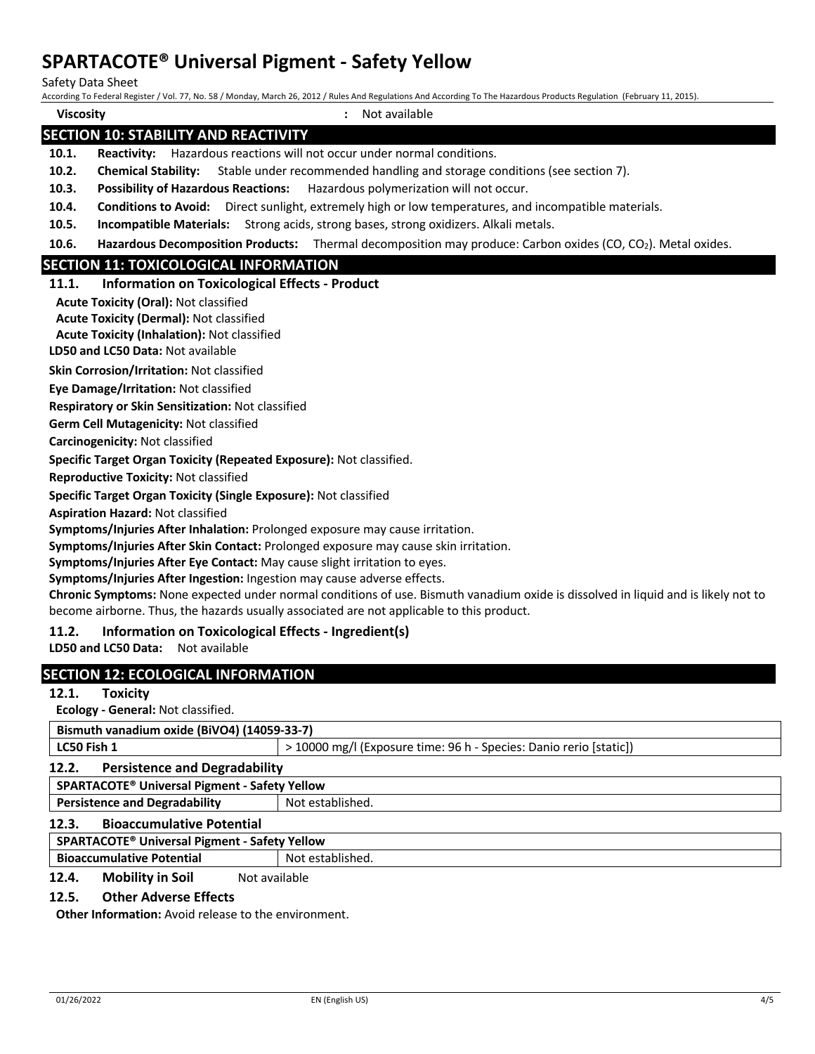Safety Data Sheet

| Salety Data Sileet |                                                                                                      | According To Federal Register / Vol. 77, No. 58 / Monday, March 26, 2012 / Rules And Regulations And According To The Hazardous Products Regulation (February 11, 2015). |  |
|--------------------|------------------------------------------------------------------------------------------------------|--------------------------------------------------------------------------------------------------------------------------------------------------------------------------|--|
| <b>Viscosity</b>   |                                                                                                      | : Not available                                                                                                                                                          |  |
|                    | <b>SECTION 10: STABILITY AND REACTIVITY</b>                                                          |                                                                                                                                                                          |  |
| 10.1.              |                                                                                                      | Reactivity: Hazardous reactions will not occur under normal conditions.                                                                                                  |  |
| 10.2.              | <b>Chemical Stability:</b> Stable under recommended handling and storage conditions (see section 7). |                                                                                                                                                                          |  |
| 10.3.              | Possibility of Hazardous Reactions: Hazardous polymerization will not occur.                         |                                                                                                                                                                          |  |
| 10.4.              |                                                                                                      | Conditions to Avoid: Direct sunlight, extremely high or low temperatures, and incompatible materials.                                                                    |  |
| 10.5.              |                                                                                                      | Incompatible Materials: Strong acids, strong bases, strong oxidizers. Alkali metals.                                                                                     |  |
| 10.6.              |                                                                                                      | Hazardous Decomposition Products: Thermal decomposition may produce: Carbon oxides (CO, CO <sub>2</sub> ). Metal oxides.                                                 |  |
|                    | <b>SECTION 11: TOXICOLOGICAL INFORMATION</b>                                                         |                                                                                                                                                                          |  |
| 11.1.              | <b>Information on Toxicological Effects - Product</b>                                                |                                                                                                                                                                          |  |
|                    | <b>Acute Toxicity (Oral): Not classified</b>                                                         |                                                                                                                                                                          |  |
|                    | <b>Acute Toxicity (Dermal): Not classified</b>                                                       |                                                                                                                                                                          |  |
|                    | <b>Acute Toxicity (Inhalation): Not classified</b>                                                   |                                                                                                                                                                          |  |
|                    | LD50 and LC50 Data: Not available                                                                    |                                                                                                                                                                          |  |
|                    | Skin Corrosion/Irritation: Not classified                                                            |                                                                                                                                                                          |  |
|                    | Eye Damage/Irritation: Not classified                                                                |                                                                                                                                                                          |  |
|                    | Respiratory or Skin Sensitization: Not classified                                                    |                                                                                                                                                                          |  |
|                    | Germ Cell Mutagenicity: Not classified                                                               |                                                                                                                                                                          |  |
|                    | Carcinogenicity: Not classified                                                                      |                                                                                                                                                                          |  |
|                    | Specific Target Organ Toxicity (Repeated Exposure): Not classified.                                  |                                                                                                                                                                          |  |
|                    | <b>Reproductive Toxicity: Not classified</b>                                                         |                                                                                                                                                                          |  |
|                    | Specific Target Organ Toxicity (Single Exposure): Not classified                                     |                                                                                                                                                                          |  |
|                    | <b>Aspiration Hazard: Not classified</b>                                                             |                                                                                                                                                                          |  |
|                    |                                                                                                      | Symptoms/Injuries After Inhalation: Prolonged exposure may cause irritation.                                                                                             |  |
|                    |                                                                                                      | Symptoms/Injuries After Skin Contact: Prolonged exposure may cause skin irritation.                                                                                      |  |
|                    | Symptoms/Injuries After Eye Contact: May cause slight irritation to eyes.                            |                                                                                                                                                                          |  |
|                    | Symptoms/Injuries After Ingestion: Ingestion may cause adverse effects.                              |                                                                                                                                                                          |  |
|                    |                                                                                                      | Chronic Symptoms: None expected under normal conditions of use. Bismuth vanadium oxide is dissolved in liquid and is likely not to                                       |  |
|                    |                                                                                                      | become airborne. Thus, the hazards usually associated are not applicable to this product.                                                                                |  |
| 11.2.              | Information on Toxicological Effects - Ingredient(s)                                                 |                                                                                                                                                                          |  |
|                    | LD50 and LC50 Data: Not available                                                                    |                                                                                                                                                                          |  |
|                    | <b>SECTION 12: ECOLOGICAL INFORMATION</b>                                                            |                                                                                                                                                                          |  |
| 12.1.              | <b>Toxicity</b>                                                                                      |                                                                                                                                                                          |  |
|                    | Ecology - General: Not classified.                                                                   |                                                                                                                                                                          |  |
|                    | Bismuth vanadium oxide (BiVO4) (14059-33-7)                                                          |                                                                                                                                                                          |  |
| LC50 Fish 1        |                                                                                                      | > 10000 mg/l (Exposure time: 96 h - Species: Danio rerio [static])                                                                                                       |  |
| 12.2.              | <b>Persistence and Degradability</b>                                                                 |                                                                                                                                                                          |  |
|                    | SPARTACOTE <sup>®</sup> Universal Pigment - Safety Yellow                                            |                                                                                                                                                                          |  |
|                    | <b>Persistence and Degradability</b>                                                                 | Not established.                                                                                                                                                         |  |

#### **12.3. Bioaccumulative Potential**

#### **SPARTACOTE® Universal Pigment - Safety Yellow**

**Bioaccumulative Potential Not established.** 

## 12.4. Mobility in Soil Not available

#### **12.5. Other Adverse Effects**

**Other Information:** Avoid release to the environment.